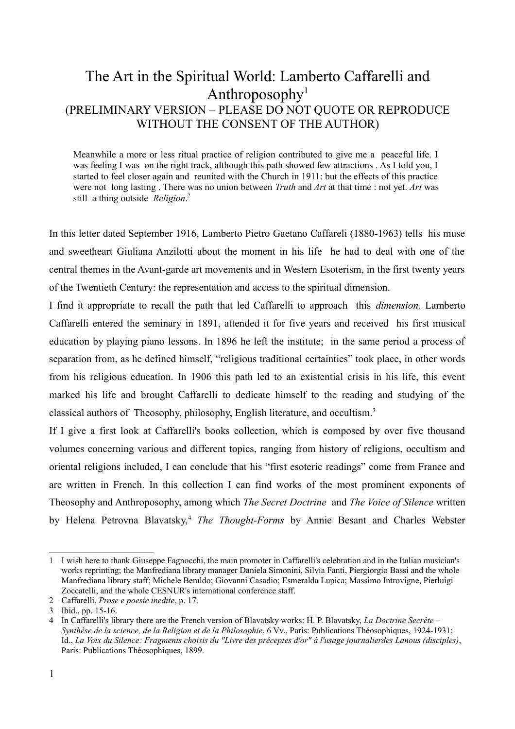## The Art in the Spiritual World: Lamberto Caffarelli and Anthroposophy<sup>1</sup> (PRELIMINARY VERSION – PLEASE DO NOT QUOTE OR REPRODUCE WITHOUT THE CONSENT OF THE AUTHOR)

Meanwhile a more or less ritual practice of religion contributed to give me a peaceful life. I was feeling I was on the right track, although this path showed few attractions . As I told you, I started to feel closer again and reunited with the Church in 1911: but the effects of this practice were not long lasting . There was no union between *Truth* and *Art* at that time : not yet. *Art* was still a thing outside *Religion*. [2](#page-0-1)

In this letter dated September 1916, Lamberto Pietro Gaetano Caffareli (1880-1963) tells his muse and sweetheart Giuliana Anzilotti about the moment in his life he had to deal with one of the central themes in the Avant-garde art movements and in Western Esoterism, in the first twenty years of the Twentieth Century: the representation and access to the spiritual dimension.

I find it appropriate to recall the path that led Caffarelli to approach this *dimension*. Lamberto Caffarelli entered the seminary in 1891, attended it for five years and received his first musical education by playing piano lessons. In 1896 he left the institute; in the same period a process of separation from, as he defined himself, "religious traditional certainties" took place, in other words from his religious education. In 1906 this path led to an existential crisis in his life, this event marked his life and brought Caffarelli to dedicate himself to the reading and studying of the classical authors of Theosophy, philosophy, English literature, and occultism[.3](#page-0-2)

If I give a first look at Caffarelli's books collection, which is composed by over five thousand volumes concerning various and different topics, ranging from history of religions, occultism and oriental religions included, I can conclude that his "first esoteric readings" come from France and are written in French. In this collection I can find works of the most prominent exponents of Theosophy and Anthroposophy, among which *The Secret Doctrine* and *The Voice of Silence* written by Helena Petrovna Blavatsky,<sup>[4](#page-0-3)</sup> *The Thought-Forms* by Annie Besant and Charles Webster

<span id="page-0-0"></span><sup>1</sup> I wish here to thank Giuseppe Fagnocchi, the main promoter in Caffarelli's celebration and in the Italian musician's works reprinting; the Manfrediana library manager Daniela Simonini, Silvia Fanti, Piergiorgio Bassi and the whole Manfrediana library staff; Michele Beraldo; Giovanni Casadio; Esmeralda Lupica; Massimo Introvigne, Pierluigi Zoccatelli, and the whole CESNUR's international conference staff.

<span id="page-0-1"></span><sup>2</sup> Caffarelli, *Prose e poesie inedite*, p. 17.

<span id="page-0-2"></span><sup>3</sup> Ibid., pp. 15-16.

<span id="page-0-3"></span><sup>4</sup> In Caffarelli's library there are the French version of Blavatsky works: H. P. Blavatsky, *La Doctrine Secrète – Synthèse de la science, de la Religion et de la Philosophie*, 6 Vv., Paris: Publications Théosophiques, 1924-1931; Id., *La Voix du Silence: Fragments choisis du "Livre des préceptes d'or" à l'usage journalierdes Lanous (disciples)*, Paris: Publications Théosophiques, 1899.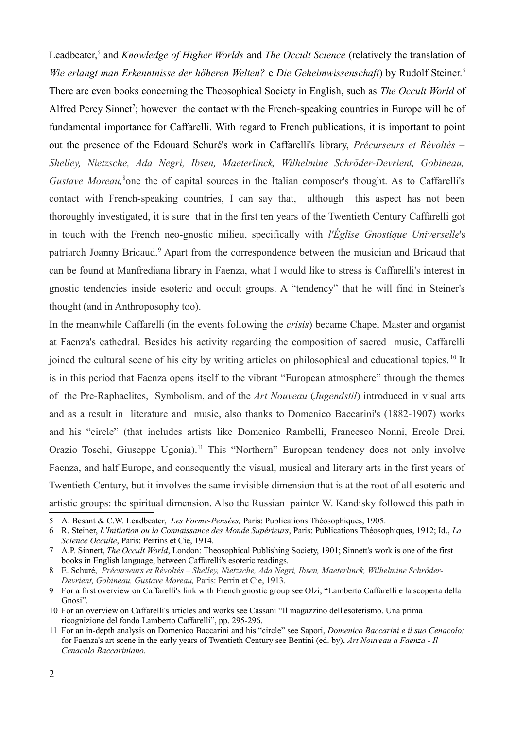Leadbeater,<sup>5</sup> and *Knowledge of Higher Worlds* and *The Occult Science* (relatively the translation of *Wie erlangt man Erkenntnisse der höheren Welten?* e *Die Geheimwissenschaft*) by Rudolf Steiner[.6](#page-1-1) There are even books concerning the Theosophical Society in English, such as *The Occult World* of Alfred Percy Sinnet<sup>7</sup>; however the contact with the French-speaking countries in Europe will be of fundamental importance for Caffarelli. With regard to French publications, it is important to point out the presence of the Edouard Schuré's work in Caffarelli's library, *Précurseurs et Révoltés – Shelley, Nietzsche, Ada Negri, Ibsen, Maeterlinck, Wilhelmine Schröder-Devrient, Gobineau,* Gustave Moreau,<sup>[8](#page-1-3)</sup>one the of capital sources in the Italian composer's thought. As to Caffarelli's contact with French-speaking countries, I can say that, although this aspect has not been thoroughly investigated, it is sure that in the first ten years of the Twentieth Century Caffarelli got in touch with the French neo-gnostic milieu, specifically with *l'Église Gnostique Universelle*'s patriarch Joanny Bricaud.<sup>9</sup> Apart from the correspondence between the musician and Bricaud that can be found at Manfrediana library in Faenza, what I would like to stress is Caffarelli's interest in gnostic tendencies inside esoteric and occult groups. A "tendency" that he will find in Steiner's thought (and in Anthroposophy too).

In the meanwhile Caffarelli (in the events following the *crisis*) became Chapel Master and organist at Faenza's cathedral. Besides his activity regarding the composition of sacred music, Caffarelli joined the cultural scene of his city by writing articles on philosophical and educational topics. [10](#page-1-5) It is in this period that Faenza opens itself to the vibrant "European atmosphere" through the themes of the Pre-Raphaelites, Symbolism, and of the *Art Nouveau* (*Jugendstil*) introduced in visual arts and as a result in literature and music, also thanks to Domenico Baccarini's (1882-1907) works and his "circle" (that includes artists like Domenico Rambelli, Francesco Nonni, Ercole Drei, Orazio Toschi, Giuseppe Ugonia)[.11](#page-1-6) This "Northern" European tendency does not only involve Faenza, and half Europe, and consequently the visual, musical and literary arts in the first years of Twentieth Century, but it involves the same invisible dimension that is at the root of all esoteric and artistic groups: the spiritual dimension. Also the Russian painter W. Kandisky followed this path in

<span id="page-1-0"></span><sup>5</sup> A. Besant & C.W. Leadbeater, *Les Forme-Pensées,* Paris: Publications Théosophiques, 1905.

<span id="page-1-1"></span><sup>6</sup> R. Steiner, *L'Initiation ou la Connaissance des Monde Supérieurs*, Paris: Publications Théosophiques, 1912; Id., *La Science Occulte*, Paris: Perrins et Cie, 1914.

<span id="page-1-2"></span><sup>7</sup> A.P. Sinnett, *The Occult World*, London: Theosophical Publishing Society, 1901; Sinnett's work is one of the first books in English language, between Caffarelli's esoteric readings.

<span id="page-1-3"></span><sup>8</sup> E. Schuré, *Précurseurs et Révoltés – Shelley, Nietzsche, Ada Negri, Ibsen, Maeterlinck, Wilhelmine Schröder-Devrient, Gobineau, Gustave Moreau,* Paris: Perrin et Cie, 1913.

<span id="page-1-4"></span><sup>9</sup> For a first overview on Caffarelli's link with French gnostic group see Olzi, "Lamberto Caffarelli e la scoperta della Gnosi".

<span id="page-1-5"></span><sup>10</sup> For an overview on Caffarelli's articles and works see Cassani "Il magazzino dell'esoterismo. Una prima ricognizione del fondo Lamberto Caffarelli", pp. 295-296.

<span id="page-1-6"></span><sup>11</sup> For an in-depth analysis on Domenico Baccarini and his "circle" see Sapori, *Domenico Baccarini e il suo Cenacolo;* for Faenza's art scene in the early years of Twentieth Century see Bentini (ed. by), *Art Nouveau a Faenza - Il Cenacolo Baccariniano.*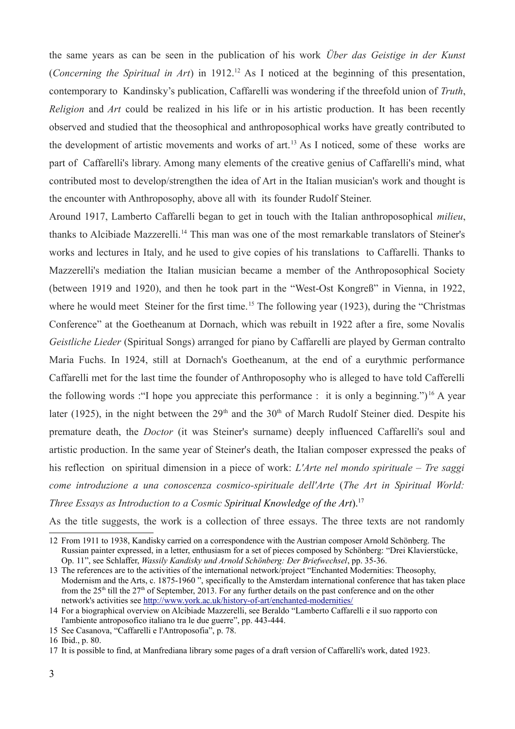the same years as can be seen in the publication of his work *Über das Geistige in der Kunst* (*Concerning the Spiritual in Art*) in 1912[.12](#page-2-0) As I noticed at the beginning of this presentation, contemporary to Kandinsky's publication, Caffarelli was wondering if the threefold union of *Truth*, *Religion* and *Art* could be realized in his life or in his artistic production. It has been recently observed and studied that the theosophical and anthroposophical works have greatly contributed to the development of artistic movements and works of art.<sup>13</sup> As I noticed, some of these works are part of Caffarelli's library. Among many elements of the creative genius of Caffarelli's mind, what contributed most to develop/strengthen the idea of Art in the Italian musician's work and thought is the encounter with Anthroposophy, above all with its founder Rudolf Steiner.

Around 1917, Lamberto Caffarelli began to get in touch with the Italian anthroposophical *milieu*, thanks to Alcibiade Mazzerelli.<sup>14</sup> This man was one of the most remarkable translators of Steiner's works and lectures in Italy, and he used to give copies of his translations to Caffarelli. Thanks to Mazzerelli's mediation the Italian musician became a member of the Anthroposophical Society (between 1919 and 1920), and then he took part in the "West-Ost Kongreß" in Vienna, in 1922, where he would meet Steiner for the first time.<sup>15</sup> The following year (1923), during the "Christmas" Conference" at the Goetheanum at Dornach, which was rebuilt in 1922 after a fire, some Novalis *Geistliche Lieder* (Spiritual Songs) arranged for piano by Caffarelli are played by German contralto Maria Fuchs. In 1924, still at Dornach's Goetheanum, at the end of a eurythmic performance Caffarelli met for the last time the founder of Anthroposophy who is alleged to have told Cafferelli the following words : "I hope you appreciate this performance : it is only a beginning.")<sup>16</sup> A year later (1925), in the night between the  $29<sup>th</sup>$  and the  $30<sup>th</sup>$  of March Rudolf Steiner died. Despite his premature death, the *Doctor* (it was Steiner's surname) deeply influenced Caffarelli's soul and artistic production. In the same year of Steiner's death, the Italian composer expressed the peaks of his reflection on spiritual dimension in a piece of work: *L'Arte nel mondo spirituale – Tre saggi come introduzione a una conoscenza cosmico-spirituale dell'Arte* (*The Art in Spiritual World: Three Essays as Introduction to a Cosmic Spiritual Knowledge of the Art*)[.17](#page-2-5)

As the title suggests, the work is a collection of three essays. The three texts are not randomly

<span id="page-2-3"></span>15 See Casanova, "Caffarelli e l'Antroposofia", p. 78.

<span id="page-2-0"></span><sup>12</sup> From 1911 to 1938, Kandisky carried on a correspondence with the Austrian composer Arnold Schönberg. The Russian painter expressed, in a letter, enthusiasm for a set of pieces composed by Schönberg: "Drei Klavierstücke, Op. 11", see Schlaffer, *Wassily Kandisky und Arnold Schönberg: Der Briefwechsel*, pp. 35-36.

<span id="page-2-1"></span><sup>13</sup> The references are to the activities of the international network/project "Enchanted Modernities: Theosophy, Modernism and the Arts, c. 1875-1960 ", specifically to the Amsterdam international conference that has taken place from the  $25<sup>th</sup>$  till the  $27<sup>th</sup>$  of September, 2013. For any further details on the past conference and on the other network's activities see<http://www.york.ac.uk/history-of-art/enchanted-modernities/>

<span id="page-2-2"></span><sup>14</sup> For a biographical overview on Alcibiade Mazzerelli, see Beraldo "Lamberto Caffarelli e il suo rapporto con l'ambiente antroposofico italiano tra le due guerre", pp. 443-444.

<span id="page-2-4"></span><sup>16</sup> Ibid., p. 80.

<span id="page-2-5"></span><sup>17</sup> It is possible to find, at Manfrediana library some pages of a draft version of Caffarelli's work, dated 1923.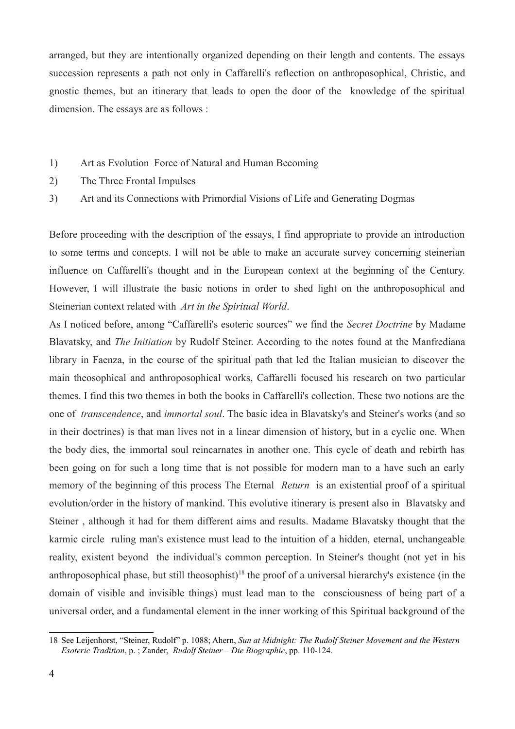arranged, but they are intentionally organized depending on their length and contents. The essays succession represents a path not only in Caffarelli's reflection on anthroposophical, Christic, and gnostic themes, but an itinerary that leads to open the door of the knowledge of the spiritual dimension. The essays are as follows :

- 1) Art as Evolution Force of Natural and Human Becoming
- 2) The Three Frontal Impulses
- 3) Art and its Connections with Primordial Visions of Life and Generating Dogmas

Before proceeding with the description of the essays, I find appropriate to provide an introduction to some terms and concepts. I will not be able to make an accurate survey concerning steinerian influence on Caffarelli's thought and in the European context at the beginning of the Century. However, I will illustrate the basic notions in order to shed light on the anthroposophical and Steinerian context related with *Art in the Spiritual World*.

As I noticed before, among "Caffarelli's esoteric sources" we find the *Secret Doctrine* by Madame Blavatsky, and *The Initiation* by Rudolf Steiner. According to the notes found at the Manfrediana library in Faenza, in the course of the spiritual path that led the Italian musician to discover the main theosophical and anthroposophical works, Caffarelli focused his research on two particular themes. I find this two themes in both the books in Caffarelli's collection. These two notions are the one of *transcendence*, and *immortal soul*. The basic idea in Blavatsky's and Steiner's works (and so in their doctrines) is that man lives not in a linear dimension of history, but in a cyclic one. When the body dies, the immortal soul reincarnates in another one. This cycle of death and rebirth has been going on for such a long time that is not possible for modern man to a have such an early memory of the beginning of this process The Eternal *Return* is an existential proof of a spiritual evolution/order in the history of mankind. This evolutive itinerary is present also in Blavatsky and Steiner , although it had for them different aims and results. Madame Blavatsky thought that the karmic circle ruling man's existence must lead to the intuition of a hidden, eternal, unchangeable reality, existent beyond the individual's common perception. In Steiner's thought (not yet in his anthroposophical phase, but still theosophist)<sup>18</sup> the proof of a universal hierarchy's existence (in the domain of visible and invisible things) must lead man to the consciousness of being part of a universal order, and a fundamental element in the inner working of this Spiritual background of the

<span id="page-3-0"></span><sup>18</sup> See Leijenhorst, "Steiner, Rudolf" p. 1088; Ahern, *Sun at Midnight: The Rudolf Steiner Movement and the Western Esoteric Tradition*, p. ; Zander, *Rudolf Steiner – Die Biographie*, pp. 110-124.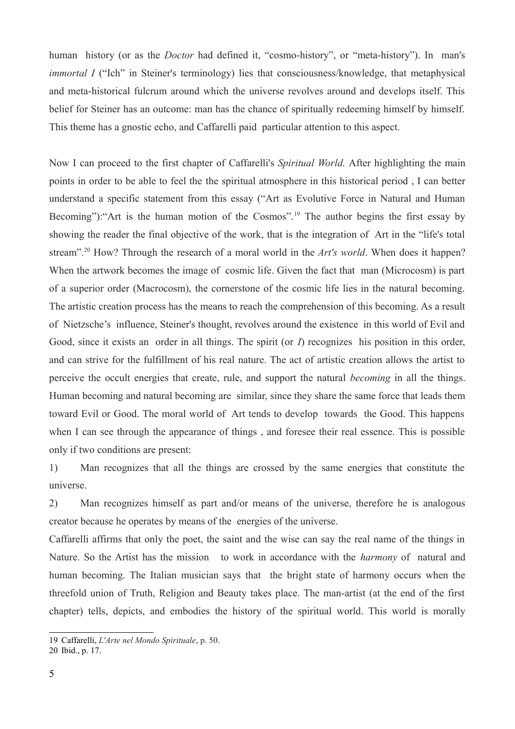human history (or as the *Doctor* had defined it, "cosmo-history", or "meta-history"). In man's *immortal I* ("Ich" in Steiner's terminology) lies that consciousness/knowledge, that metaphysical and meta-historical fulcrum around which the universe revolves around and develops itself. This belief for Steiner has an outcome: man has the chance of spiritually redeeming himself by himself. This theme has a gnostic echo, and Caffarelli paid particular attention to this aspect.

Now I can proceed to the first chapter of Caffarelli's *Spiritual World.* After highlighting the main points in order to be able to feel the the spiritual atmosphere in this historical period , I can better understand a specific statement from this essay ("Art as Evolutive Force in Natural and Human Becoming"): "Art is the human motion of the Cosmos".<sup>19</sup> The author begins the first essay by showing the reader the final objective of the work, that is the integration of Art in the "life's total stream"[.20](#page-4-1) How? Through the research of a moral world in the *Art's world*. When does it happen? When the artwork becomes the image of cosmic life. Given the fact that man (Microcosm) is part of a superior order (Macrocosm), the cornerstone of the cosmic life lies in the natural becoming. The artistic creation process has the means to reach the comprehension of this becoming. As a result of Nietzsche's influence, Steiner's thought, revolves around the existence in this world of Evil and Good, since it exists an order in all things. The spirit (or *I*) recognizes his position in this order, and can strive for the fulfillment of his real nature. The act of artistic creation allows the artist to perceive the occult energies that create, rule, and support the natural *becoming* in all the things. Human becoming and natural becoming are similar, since they share the same force that leads them toward Evil or Good. The moral world of Art tends to develop towards the Good. This happens when I can see through the appearance of things , and foresee their real essence. This is possible only if two conditions are present:

1) Man recognizes that all the things are crossed by the same energies that constitute the universe.

2) Man recognizes himself as part and/or means of the universe, therefore he is analogous creator because he operates by means of the energies of the universe.

Caffarelli affirms that only the poet, the saint and the wise can say the real name of the things in Nature. So the Artist has the mission to work in accordance with the *harmony* of natural and human becoming. The Italian musician says that the bright state of harmony occurs when the threefold union of Truth, Religion and Beauty takes place. The man-artist (at the end of the first chapter) tells, depicts, and embodies the history of the spiritual world. This world is morally

<span id="page-4-0"></span><sup>19</sup> Caffarelli, *L'Arte nel Mondo Spirituale*, p. 50.

<span id="page-4-1"></span><sup>20</sup> Ibid., p. 17.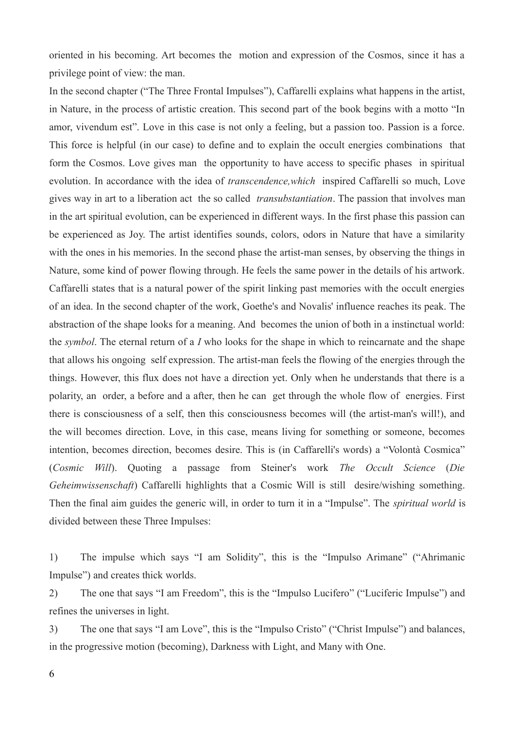oriented in his becoming. Art becomes the motion and expression of the Cosmos, since it has a privilege point of view: the man.

In the second chapter ("The Three Frontal Impulses"), Caffarelli explains what happens in the artist, in Nature, in the process of artistic creation. This second part of the book begins with a motto "In amor, vivendum est". Love in this case is not only a feeling, but a passion too. Passion is a force. This force is helpful (in our case) to define and to explain the occult energies combinations that form the Cosmos. Love gives man the opportunity to have access to specific phases in spiritual evolution. In accordance with the idea of *transcendence,which* inspired Caffarelli so much, Love gives way in art to a liberation act the so called *transubstantiation*. The passion that involves man in the art spiritual evolution, can be experienced in different ways. In the first phase this passion can be experienced as Joy. The artist identifies sounds, colors, odors in Nature that have a similarity with the ones in his memories. In the second phase the artist-man senses, by observing the things in Nature, some kind of power flowing through. He feels the same power in the details of his artwork. Caffarelli states that is a natural power of the spirit linking past memories with the occult energies of an idea. In the second chapter of the work, Goethe's and Novalis' influence reaches its peak. The abstraction of the shape looks for a meaning. And becomes the union of both in a instinctual world: the *symbol*. The eternal return of a *I* who looks for the shape in which to reincarnate and the shape that allows his ongoing self expression. The artist-man feels the flowing of the energies through the things. However, this flux does not have a direction yet. Only when he understands that there is a polarity, an order, a before and a after, then he can get through the whole flow of energies. First there is consciousness of a self, then this consciousness becomes will (the artist-man's will!), and the will becomes direction. Love, in this case, means living for something or someone, becomes intention, becomes direction, becomes desire. This is (in Caffarelli's words) a "Volontà Cosmica" (*Cosmic Will*). Quoting a passage from Steiner's work *The Occult Science* (*Die Geheimwissenschaft*) Caffarelli highlights that a Cosmic Will is still desire/wishing something. Then the final aim guides the generic will, in order to turn it in a "Impulse". The *spiritual world* is divided between these Three Impulses:

1) The impulse which says "I am Solidity", this is the "Impulso Arimane" ("Ahrimanic Impulse") and creates thick worlds.

2) The one that says "I am Freedom", this is the "Impulso Lucifero" ("Luciferic Impulse") and refines the universes in light.

3) The one that says "I am Love", this is the "Impulso Cristo" ("Christ Impulse") and balances, in the progressive motion (becoming), Darkness with Light, and Many with One.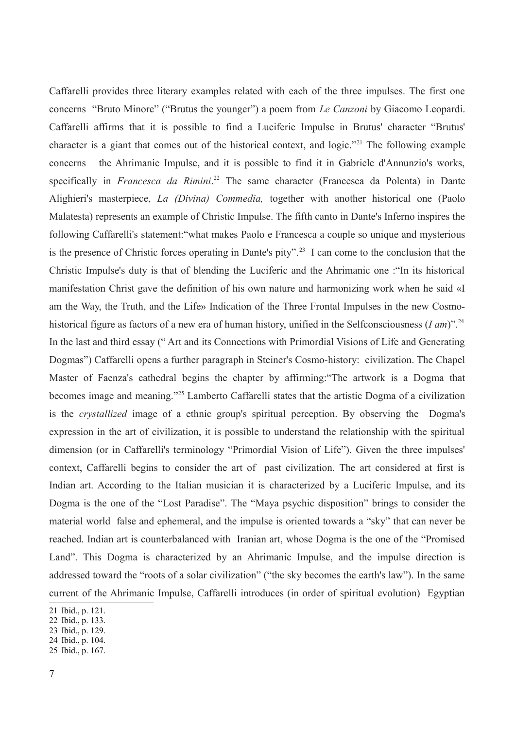Caffarelli provides three literary examples related with each of the three impulses. The first one concerns "Bruto Minore" ("Brutus the younger") a poem from *Le Canzoni* by Giacomo Leopardi. Caffarelli affirms that it is possible to find a Luciferic Impulse in Brutus' character "Brutus' character is a giant that comes out of the historical context, and logic.["21](#page-6-0) The following example concerns the Ahrimanic Impulse, and it is possible to find it in Gabriele d'Annunzio's works, specifically in *Francesca da Rimini*. [22](#page-6-1) The same character (Francesca da Polenta) in Dante Alighieri's masterpiece, *La (Divina) Commedia,* together with another historical one (Paolo Malatesta) represents an example of Christic Impulse. The fifth canto in Dante's Inferno inspires the following Caffarelli's statement:"what makes Paolo e Francesca a couple so unique and mysterious is the presence of Christic forces operating in Dante's pity"[.23](#page-6-2) I can come to the conclusion that the Christic Impulse's duty is that of blending the Luciferic and the Ahrimanic one :"In its historical manifestation Christ gave the definition of his own nature and harmonizing work when he said «I am the Way, the Truth, and the Life» Indication of the Three Frontal Impulses in the new Cosmohistorical figure as factors of a new era of human history, unified in the Selfconsciousness (*I am*)"[.24](#page-6-3) In the last and third essay (" Art and its Connections with Primordial Visions of Life and Generating Dogmas") Caffarelli opens a further paragraph in Steiner's Cosmo-history: civilization. The Chapel Master of Faenza's cathedral begins the chapter by affirming:"The artwork is a Dogma that becomes image and meaning.["25](#page-6-4) Lamberto Caffarelli states that the artistic Dogma of a civilization is the *crystallized* image of a ethnic group's spiritual perception. By observing the Dogma's expression in the art of civilization, it is possible to understand the relationship with the spiritual dimension (or in Caffarelli's terminology "Primordial Vision of Life"). Given the three impulses' context, Caffarelli begins to consider the art of past civilization. The art considered at first is Indian art. According to the Italian musician it is characterized by a Luciferic Impulse, and its Dogma is the one of the "Lost Paradise". The "Maya psychic disposition" brings to consider the material world false and ephemeral, and the impulse is oriented towards a "sky" that can never be reached. Indian art is counterbalanced with Iranian art, whose Dogma is the one of the "Promised Land". This Dogma is characterized by an Ahrimanic Impulse, and the impulse direction is addressed toward the "roots of a solar civilization" ("the sky becomes the earth's law"). In the same current of the Ahrimanic Impulse, Caffarelli introduces (in order of spiritual evolution) Egyptian

<span id="page-6-0"></span><sup>21</sup> Ibid., p. 121.

<span id="page-6-1"></span><sup>22</sup> Ibid., p. 133.

<span id="page-6-2"></span><sup>23</sup> Ibid., p. 129.

<span id="page-6-3"></span><sup>24</sup> Ibid., p. 104.

<span id="page-6-4"></span><sup>25</sup> Ibid., p. 167.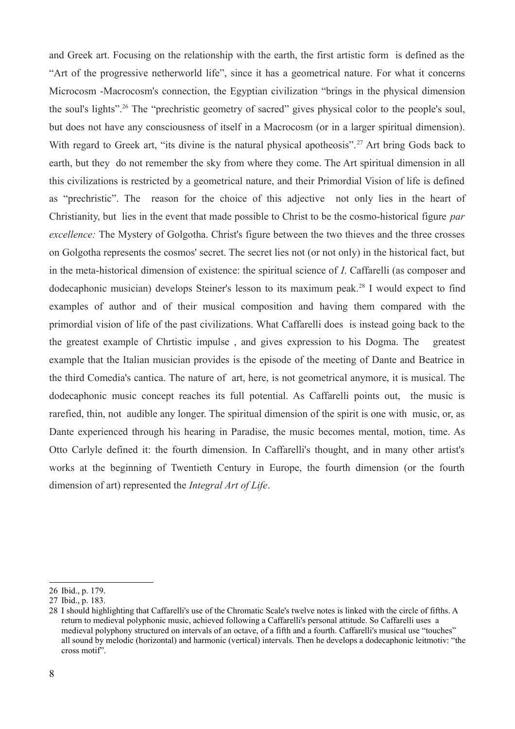and Greek art. Focusing on the relationship with the earth, the first artistic form is defined as the "Art of the progressive netherworld life", since it has a geometrical nature. For what it concerns Microcosm -Macrocosm's connection, the Egyptian civilization "brings in the physical dimension the soul's lights"[.26](#page-7-0) The "prechristic geometry of sacred" gives physical color to the people's soul, but does not have any consciousness of itself in a Macrocosm (or in a larger spiritual dimension). With regard to Greek art, "its divine is the natural physical apotheosis".<sup>27</sup> Art bring Gods back to earth, but they do not remember the sky from where they come. The Art spiritual dimension in all this civilizations is restricted by a geometrical nature, and their Primordial Vision of life is defined as "prechristic". The reason for the choice of this adjective not only lies in the heart of Christianity, but lies in the event that made possible to Christ to be the cosmo-historical figure *par excellence:* The Mystery of Golgotha. Christ's figure between the two thieves and the three crosses on Golgotha represents the cosmos' secret. The secret lies not (or not only) in the historical fact, but in the meta-historical dimension of existence: the spiritual science of *I*. Caffarelli (as composer and dodecaphonic musician) develops Steiner's lesson to its maximum peak.<sup>28</sup> I would expect to find examples of author and of their musical composition and having them compared with the primordial vision of life of the past civilizations. What Caffarelli does is instead going back to the the greatest example of Chrtistic impulse , and gives expression to his Dogma. The greatest example that the Italian musician provides is the episode of the meeting of Dante and Beatrice in the third Comedia's cantica. The nature of art, here, is not geometrical anymore, it is musical. The dodecaphonic music concept reaches its full potential. As Caffarelli points out, the music is rarefied, thin, not audible any longer. The spiritual dimension of the spirit is one with music, or, as Dante experienced through his hearing in Paradise, the music becomes mental, motion, time. As Otto Carlyle defined it: the fourth dimension. In Caffarelli's thought, and in many other artist's works at the beginning of Twentieth Century in Europe, the fourth dimension (or the fourth dimension of art) represented the *Integral Art of Life*.

<span id="page-7-0"></span><sup>26</sup> Ibid., p. 179.

<span id="page-7-1"></span><sup>27</sup> Ibid., p. 183.

<span id="page-7-2"></span><sup>28</sup> I should highlighting that Caffarelli's use of the Chromatic Scale's twelve notes is linked with the circle of fifths. A return to medieval polyphonic music, achieved following a Caffarelli's personal attitude. So Caffarelli uses a medieval polyphony structured on intervals of an octave, of a fifth and a fourth. Caffarelli's musical use "touches" all sound by melodic (horizontal) and harmonic (vertical) intervals. Then he develops a dodecaphonic leitmotiv: "the cross motif".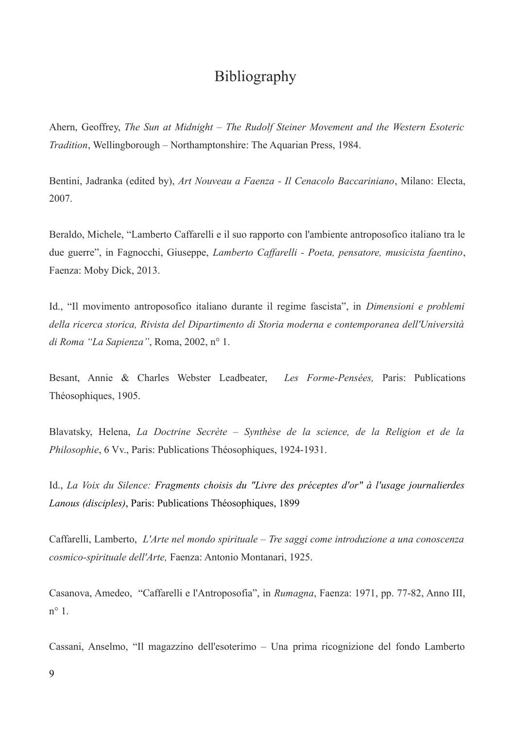## Bibliography

Ahern, Geoffrey, *The Sun at Midnight – The Rudolf Steiner Movement and the Western Esoteric Tradition*, Wellingborough – Northamptonshire: The Aquarian Press, 1984.

Bentini, Jadranka (edited by), *Art Nouveau a Faenza - Il Cenacolo Baccariniano*, Milano: Electa, 2007.

Beraldo, Michele, "Lamberto Caffarelli e il suo rapporto con l'ambiente antroposofico italiano tra le due guerre", in Fagnocchi, Giuseppe, *Lamberto Caffarelli - Poeta, pensatore, musicista faentino*, Faenza: Moby Dick, 2013.

Id., "Il movimento antroposofico italiano durante il regime fascista", in *Dimensioni e problemi della ricerca storica, Rivista del Dipartimento di Storia moderna e contemporanea dell'Università di Roma "La Sapienza"*, Roma, 2002, n° 1.

Besant, Annie & Charles Webster Leadbeater, *Les Forme-Pensées,* Paris: Publications Théosophiques, 1905.

Blavatsky, Helena, *La Doctrine Secrète – Synthèse de la science, de la Religion et de la Philosophie*, 6 Vv., Paris: Publications Théosophiques, 1924-1931.

Id., *La Voix du Silence: Fragments choisis du "Livre des préceptes d'or" à l'usage journalierdes Lanous (disciples)*, Paris: Publications Théosophiques, 1899

Caffarelli, Lamberto, *L'Arte nel mondo spirituale – Tre saggi come introduzione a una conoscenza cosmico-spirituale dell'Arte,* Faenza: Antonio Montanari, 1925.

Casanova, Amedeo, "Caffarelli e l'Antroposofia", in *Rumagna*, Faenza: 1971, pp. 77-82, Anno III,  $n^{\circ}$  1

Cassani, Anselmo, "Il magazzino dell'esoterimo – Una prima ricognizione del fondo Lamberto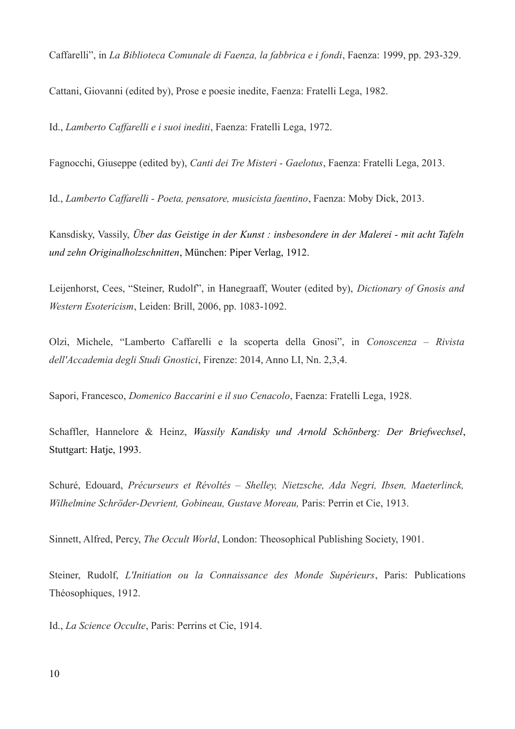Caffarelli", in *La Biblioteca Comunale di Faenza, la fabbrica e i fondi*, Faenza: 1999, pp. 293-329.

Cattani, Giovanni (edited by), Prose e poesie inedite, Faenza: Fratelli Lega, 1982.

Id., *Lamberto Caffarelli e i suoi inediti*, Faenza: Fratelli Lega, 1972.

Fagnocchi, Giuseppe (edited by), *Canti dei Tre Misteri - Gaelotus*, Faenza: Fratelli Lega, 2013.

Id., *Lamberto Caffarelli - Poeta, pensatore, musicista faentino*, Faenza: Moby Dick, 2013.

Kansdisky, Vassily, *Über das Geistige in der Kunst : insbesondere in der Malerei - mit acht Tafeln und zehn Originalholzschnitten*, München: Piper Verlag, 1912.

Leijenhorst, Cees, "Steiner, Rudolf", in Hanegraaff, Wouter (edited by), *Dictionary of Gnosis and Western Esotericism*, Leiden: Brill, 2006, pp. 1083-1092.

Olzi, Michele, "Lamberto Caffarelli e la scoperta della Gnosi", in *Conoscenza – Rivista dell'Accademia degli Studi Gnostici*, Firenze: 2014, Anno LI, Nn. 2,3,4.

Sapori, Francesco, *Domenico Baccarini e il suo Cenacolo*, Faenza: Fratelli Lega, 1928.

Schaffler, Hannelore & Heinz, *Wassily Kandisky und Arnold Schönberg: Der Briefwechsel*, Stuttgart: Hatje, 1993.

Schuré, Edouard, *Précurseurs et Révoltés – Shelley, Nietzsche, Ada Negri, Ibsen, Maeterlinck, Wilhelmine Schröder-Devrient, Gobineau, Gustave Moreau,* Paris: Perrin et Cie, 1913.

Sinnett, Alfred, Percy, *The Occult World*, London: Theosophical Publishing Society, 1901.

Steiner, Rudolf, *L'Initiation ou la Connaissance des Monde Supérieurs*, Paris: Publications Théosophiques, 1912.

Id., *La Science Occulte*, Paris: Perrins et Cie, 1914.